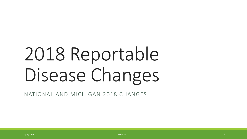# 2018 Reportable Disease Changes

NATIONAL AND MICHIGAN 2018 CHANGES

2/20/2018  $\sim$  20018  $\sim$  20018  $\sim$  20018  $\sim$  20018  $\sim$  20018  $\sim$  20018  $\sim$  20018  $\sim$  20018  $\sim$  20018  $\sim$  20018  $\sim$  20018  $\sim$  20018  $\sim$  20018  $\sim$  20018  $\sim$  20018  $\sim$  20018  $\sim$  20018  $\sim$  20018  $\sim$  20018  $\$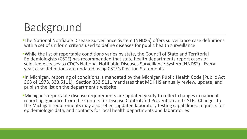# Background

- The National Notifiable Disease Surveillance System (NNDSS) offers surveillance case definitions with a set of uniform criteria used to define diseases for public health surveillance
- While the list of reportable conditions varies by state, the Council of State and Territorial Epidemiologists (CSTE) has recommended that state health departments report cases of selected diseases to CDC's National Notifiable Diseases Surveillance System (NNDSS). Every year, case definitions are updated using CSTE's Position Statements
- **In Michigan, reporting of conditions is mandated by the Michigan Public Health Code [Public Act**] 368 of 1978, 333.5111]. Section 333.5111 mandates that MDHHS annually review, update, and publish the list on the department's website
- Michigan's reportable disease requirements are updated yearly to reflect changes in national reporting guidance from the Centers for Disease Control and Prevention and CSTE. Changes to the Michigan requirements may also reflect updated laboratory testing capabilities, requests for epidemiologic data, and contacts for local health departments and laboratories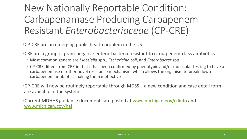#### New Nationally Reportable Condition: Carbapenamase Producing Carbapenem-Resistant *Enterobacteriaceae* (CP-CRE)

CP-CRE are an emerging public health problem in the US

- CRE are a group of gram-negative enteric bacteria resistant to carbapenem-class antibiotics
	- Most common genera are *Klebsiella* spp., *Escherichia coli*, and *Enterobacter* spp.
	- CP-CRE differs from CRE in that it has been confirmed by phenotypic and/or molecular testing to have a carbapenemase or other novel resistance mechanism, which allows the organism to break down carbapenem antibiotics making them ineffective
- CP-CRE will now be routinely reportable through MDSS a new condition and case detail form are available in the system
- Current MDHHS guidance documents are posted at [www.michigan.gov/cdinfo](http://www.michigan.gov/cdinfo) and [www.michigan.gov/hai](http://www.michigan.gov/hai)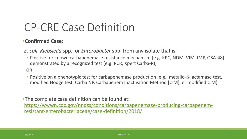#### CP-CRE Case Definition

#### **Confirmed Case:**

*E. coli*, *Klebsiella* spp., or *Enterobacter* spp. from any isolate that is:

**Positive for known carbapenemase resistance mechanism (e.g. KPC, NDM, VIM, IMP, OSA-48)** demonstrated by a recognized test (e.g. PCR, Xpert Carba-R);

#### **OR**

**Positive on a phenotypic test for carbapenemase production (e.g., metallo-ß-lactamase test,** modified Hodge test, Carba NP, Carbapenem Inactivation Method [CIM], or modified CIM)

**The complete case definition can be found at:** [https://wwwn.cdc.gov/nndss/conditions/carbapenemase-producing-carbapenem](https://wwwn.cdc.gov/nndss/conditions/carbapenemase-producing-carbapenem-resistant-enterobacteriaceae/case-definition/2018/)resistant-enterobacteriaceae/case-definition/2018/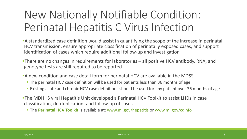# New Nationally Notifiable Condition: Perinatal Hepatitis C Virus Infection

- A standardized case definition would assist in quantifying the scope of the increase in perinatal HCV transmission, ensure appropriate classification of perinatally exposed cases, and support identification of cases which require additional follow-up and investigation
- There are no changes in requirements for laboratories all positive HCV antibody, RNA, and genotype tests are still required to be reported
- A new condition and case detail form for perinatal HCV are available in the MDSS
	- **The perinatal HCV case definition will be used for patients less than 36 months of age**
	- **Existing acute and chronic HCV case definitions should be used for any patient over 36 months of age**
- The MDHHS viral Hepatitis Unit developed a Perinatal HCV Toolkit to assist LHDs in case classification, de-duplication, and follow-up of cases
	- **The [Perinatal HCV Toolkit](http://www.michigan.gov/documents/mdhhs/Perinatal_HCV_Tool_Kit_FINAL_609604_7.pdf)** is available at: [www.mi.gov/hepatitis](http://www.mi.gov/hepatitis) or [www.mi.gov/cdinfo](http://www.mi.gov/cdinfo)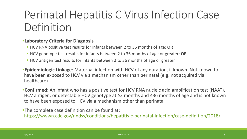### Perinatal Hepatitis C Virus Infection Case Definition

#### **Laboratory Criteria for Diagnosis**

- HCV RNA positive test results for infants between 2 to 36 months of age; **OR**
- HCV genotype test results for infants between 2 to 36 months of age or greater; **OR**
- **HCV** antigen test results for infants between 2 to 36 months of age or greater

**Epidemiologic Linkage**: Maternal infection with HCV of any duration, if known. Not known to have been exposed to HCV via a mechanism other than perinatal (e.g. not acquired via healthcare)

**Confirmed**: An infant who has a positive test for HCV RNA nucleic acid amplification test (NAAT), HCV antigen, or detectable HCV genotype at ≥2 months and ≤36 months of age and is not known to have been exposed to HCV via a mechanism other than perinatal

**The complete case definition can be found at:** <https://wwwn.cdc.gov/nndss/conditions/hepatitis-c-perinatal-infection/case-definition/2018/>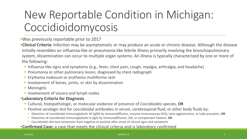# New Reportable Condition in Michigan: Coccidioidomycosis

Was previously reportable prior to 2017

**Clinical Criteria:** Infection may be asymptomatic or may produce an acute or chronic disease. Although the disease initially resembles an influenza-like or pneumonia-like febrile illness primarily involving the bronchopulmonary system, dissemination can occur to multiple organ systems. An illness is typically characterized by one or more of the following:

- Influenza-like signs and symptoms (e.g., fever, chest pain, cough, myalgia, arthralgia, and headache)
- **Pheumonia or other pulmonary lesion, diagnosed by chest radiograph**
- **Erythema nodosum or erythema multiforme rash**
- **Involvement of bones, joints, or skin by dissemination**
- **Meningitis**
- **Involvement of viscera and lymph nodes**

#### **Laboratory Criteria for Diagnosis**

- Cultural, histopathologic, or molecular evidence of presence of *Coccidioides* species, **OR**
- **Positive serologic test for coccidioidal antibodies in serum, cerebrospinal fluid, or other body fluids by:** 
	- Detection of coccidioidal immunoglobulin M (IgM) by immunodiffusion, enzyme immunoassay (EIA), latex agglutination, or tube precipitin, **OR**
	- Detection of coccidioidal immunoglobulin G (IgG) by immunodiffusion, EIA, or complement fixation, **OR**
	- Coccidioidal skin-test conversion from negative to positive after onset of clinical signs and symptoms

#### **Confirmed Case:** a case that meets the clinical criteria and is laboratory confirmed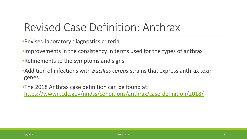### Revised Case Definition: Anthrax

- •Revised laboratory diagnostics criteria
- •Improvements in the consistency in terms used for the types of anthrax
- •Refinements to the symptoms and signs
- •Addition of infections with *Bacillus cereus* strains that express anthrax toxin genes
- •The 2018 Anthrax case definition can be found at: <https://wwwn.cdc.gov/nndss/conditions/anthrax/case-definition/2018/>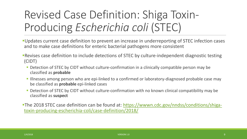# Revised Case Definition: Shiga Toxin-Producing *Escherichia coli* (STEC)

- Updates current case definition to prevent an increase in underreporting of STEC infection cases and to make case definitions for enteric bacterial pathogens more consistent
- Revises case definition to include detections of STEC by culture-independent diagnostic testing (CIDT)
	- **Detection of STEC by CIDT without culture-confirmation in a clinically compatible person may be** classified as **probable**
	- **If Illnesses among person who are epi-linked to a confirmed or laboratory-diagnosed probable case may** be classified as **probable** epi-linked cases
	- **Detection of STEC by CIDT without culture-confirmation with no known clinical compatibility may be** classified as **suspect**
- [The 2018 STEC case definition can be found at: https://wwwn.cdc.gov/nndss/conditions/shiga](https://wwwn.cdc.gov/nndss/conditions/shiga-toxin-producing-escherichia-coli/case-definition/2018/)toxin-producing-escherichia-coli/case-definition/2018/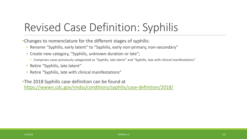### Revised Case Definition: Syphilis

•Changes to nomenclature for the different stages of syphilis:

- Rename "Syphilis, early latent" to "Syphilis, early non-primary, non-secondary"
- Create new category, "Syphilis, unknown duration or late";
	- Comprises cases previously categorized as "Syphilis, late latent" and "Syphilis, late with clinical manifestations"
- Retire "Syphilis, late latent"
- Retire "Syphilis, late with clinical manifestations"

•The 2018 Syphilis case definition can be found at <https://wwwn.cdc.gov/nndss/conditions/syphilis/case-definition/2018/>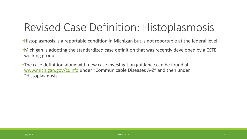### Revised Case Definition: Histoplasmosis

- •Histoplasmosis is a reportable condition in Michigan but is not reportable at the federal level
- •Michigan is adopting the standardized case definition that was recently developed by a CSTE working group
- •The case definition along with new case investigation guidance can be found at [www.michigan.gov/cdinfo](http://www.michigan.gov/cdinfo) under "Communicable Diseases A-Z" and then under "Histoplasmosis"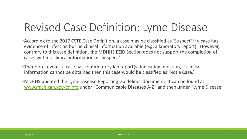### Revised Case Definition: Lyme Disease

•According to the 2017 CSTE Case Definition, a case may be classified as 'Suspect' if a case has evidence of infection but no clinical information available (e.g. a laboratory report). However, contrary to this case definition, the MDHHS EZID Section does not support the completion of cases with no clinical information as 'Suspect.'

•Therefore, even if a case has confirmatory lab report(s) indicating infection, if clinical information cannot be obtained then this case would be classified as 'Not a Case.'

•MDHHS updated the Lyme Disease Reporting Guidelines document. It can be found at [www.michigan.gov/cdinfo](http://www.michigan.gov/cdinfo) under "Communicable Diseases A-Z" and then under "Lyme Disease"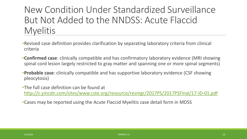#### New Condition Under Standardized Surveillance But Not Added to the NNDSS: Acute Flaccid **Myelitis**

- •Revised case definition provides clarification by separating laboratory criteria from clinical criteria
- •**Confirmed case**: clinically compatible and has confirmatory laboratory evidence (MRI showing spinal cord lesion largely restricted to gray matter and spanning one or more spinal segments)
- •**Probable case**: clinically compatible and has supportive laboratory evidence (CSF showing pleocytosis)
- •The full case definition can be found at <http://c.ymcdn.com/sites/www.cste.org/resource/resmgr/2017PS/2017PSFinal/17-ID-01.pdf>
- •Cases may be reported using the Acute Flaccid Myelitis case detail form in MDSS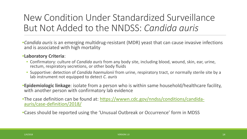#### New Condition Under Standardized Surveillance But Not Added to the NNDSS: *Candida auris*

•*Candida auris* is an emerging multidrug-resistant (MDR) yeast that can cause invasive infections and is associated with high mortality

#### •**Laboratory Criteria**:

- Confirmatory: culture of *Candida auris* from any body site, including blood, wound, skin, ear, urine, rectum, respiratory secretions, or other body fluids
- Supportive: detection of *Candida haemulonii* from urine, respiratory tract, or normally sterile site by a lab instrument not equipped to detect *C. auris*

•**Epidemiologic linkage**: isolate from a person who is within same household/healthcare facility, with another person with confirmatory lab evidence

•[The case definition can be found at: https://wwwn.cdc.gov/nndss/conditions/candida-](https://wwwn.cdc.gov/nndss/conditions/candida-auris/case-definition/2018/)<br>auris/case-definition/2018/

•Cases should be reported using the 'Unusual Outbreak or Occurrence' form in MDSS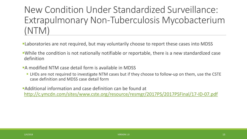New Condition Under Standardized Surveillance: Extrapulmonary Non-Tuberculosis Mycobacterium (NTM)

- Laboratories are not required, but may voluntarily choose to report these cases into MDSS
- While the condition is not nationally notifiable or reportable, there is a new standardized case definition
- A modified NTM case detail form is available in MDSS
	- LHDs are not required to investigate NTM cases but if they choose to follow-up on them, use the CSTE case definition and MDSS case detail form

Additional information and case definition can be found at <http://c.ymcdn.com/sites/www.cste.org/resource/resmgr/2017PS/2017PSFinal/17-ID-07.pdf>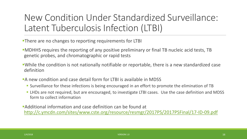#### New Condition Under Standardized Surveillance: Latent Tuberculosis Infection (LTBI)

- **There are no changes to reporting requirements for LTBI**
- MDHHS requires the reporting of any positive preliminary or final TB nucleic acid tests, TB genetic probes, and chromatographic or rapid tests
- While the condition is not nationally notifiable or reportable, there is a new standardized case definition
- **A new condition and case detail form for LTBI is available in MDSS** 
	- Surveillance for these infections is being encouraged in an effort to promote the elimination of TB
	- **LHDs are not required, but are encouraged, to investigate LTBI cases. Use the case definition and MDSS** form to collect information

Additional information and case definition can be found at <http://c.ymcdn.com/sites/www.cste.org/resource/resmgr/2017PS/2017PSFinal/17-ID-09.pdf>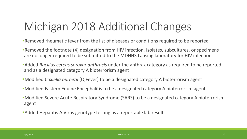# Michigan 2018 Additional Changes

- Removed rheumatic fever from the list of diseases or conditions required to be reported
- Removed the footnote (4) designation from HIV infection. Isolates, subcultures, or specimens are no longer required to be submitted to the MDHHS Lansing laboratory for HIV infections
- Added *Bacillus cereus serovar anthracis* under the anthrax category as required to be reported and as a designated category A bioterrorism agent
- Modified *Coxiella burnetii* (Q Fever) to be a designated category A bioterrorism agent
- Modified Eastern Equine Encephalitis to be a designated category A bioterrorism agent
- Modified Severe Acute Respiratory Syndrome (SARS) to be a designated category A bioterrorism agent
- Added Hepatitis A Virus genotype testing as a reportable lab result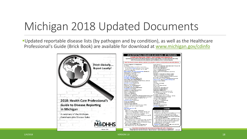### Michigan 2018 Updated Documents

Updated reportable disease lists (by pathogen and by condition), as well as the Healthcare Professional's Guide (Brick Book) are available for download at [www.michigan.gov/cdinfo](http://www.michigan.gov/cdinfo)



| A Guide for Physicians. Health Care Providers and Laboratories<br>Report the following conditions to the Michigan Disease Suverillance System (MDSS) or local health department (see reverse).<br>within 20 hours (unless otherwise noted) if the agent is identified by clinical or laboratory diagnosis. |                                                                                                                            |
|------------------------------------------------------------------------------------------------------------------------------------------------------------------------------------------------------------------------------------------------------------------------------------------------------------|----------------------------------------------------------------------------------------------------------------------------|
| Report the unusual occurrence, outbreak or epidemic of any disease or condition, including health care-associated infections.                                                                                                                                                                              |                                                                                                                            |
| Aranis wan tapozyon t- Lim (Anaplasmosis).                                                                                                                                                                                                                                                                 | Council Decise (1)                                                                                                         |
| Arrest Fran                                                                                                                                                                                                                                                                                                | (Isto-ellas as , Cartage ve was Producing-Cartage very terroris (2).                                                       |
| Arkov a lovec skal višes, kosto-anšino vresta intervento                                                                                                                                                                                                                                                   | usso voltas aco es (Lagionallosis) (2).                                                                                    |
| Children vs. bestein bouine, is no www.Caryon, La Crosse.<br>Foresteam, St., Lowin, Wood H-E, Wisson - How - E, J- G (6).                                                                                                                                                                                  | us sus s-us sepes (Leprospirosis).                                                                                         |
| Balto-a mergy (Babesicsa)                                                                                                                                                                                                                                                                                  | user valmo rocyogenes (Listeriosis) (5, 6).<br>Mossiles www. (https://twisteda.)                                           |
| Bedilus en hrads and B. cereus serovar an ihreds Din ihrez) (4).                                                                                                                                                                                                                                           | Monting-was known will would be read, and some their structure.                                                            |
| Make wyes der war-odo (Blacromyessis).                                                                                                                                                                                                                                                                     | Mumas who                                                                                                                  |
| to detella in wass (Perrussis)                                                                                                                                                                                                                                                                             | Myanitan.crown ibs ac (Leprosy or Hansen's Disease).                                                                       |
| tar a la tragga (ar Cymr Diresse)                                                                                                                                                                                                                                                                          | Myan kapas win wito culoso animilax (tuberculosis),                                                                        |
| Brucelle species (Brucellosis) (4)                                                                                                                                                                                                                                                                         | ena check was your different and concert pulse essets (4).                                                                 |
| Burkholderin mallei (Glanders) (4)                                                                                                                                                                                                                                                                         | Rossor-age remindeut (Gonomhau) (3, 6)                                                                                     |
| Burkholderin preudomallei (Intelicidosis) (4)                                                                                                                                                                                                                                                              | Rossoria morrigio dispone los una (Meningocco del Disease) (3).                                                            |
| Camey bisances suppos (Compylobe carriosis).                                                                                                                                                                                                                                                               |                                                                                                                            |
| ChlamyS-a cushoma ca (Trachoma, Geni allin lections, LGV) (S, 6).                                                                                                                                                                                                                                          | Flamed-um secolo (Meleria).                                                                                                |
| Chlamydogh-lags-wap (Psingrossis)                                                                                                                                                                                                                                                                          | En la marca                                                                                                                |
| Clearid um bordinum (Dordism) (4)<br>Class (discrete unit) (The merge)                                                                                                                                                                                                                                     | Franciscuse, reliains CID                                                                                                  |
| Comple-da - mm-us (Opadibidamycais).                                                                                                                                                                                                                                                                       | <b>Railway</b> (4)<br>Getexisus sepes (Sported Fever).                                                                     |
| Caranzo vses (SARS, MPA-Ca1) (S)                                                                                                                                                                                                                                                                           | Whellow Go (6)                                                                                                             |
| Conyectuous vum 0-shaho vuo (Diphiheria) (3)                                                                                                                                                                                                                                                               | Salva vollas acocs (Salmondlosis) (5).                                                                                     |
| Codella bume ii (Q Fever)(4)                                                                                                                                                                                                                                                                               | Salva volla cya v (Typhoid Pewar)(S)                                                                                       |
| Crysus sond-um s sabes (Organoparidiais).                                                                                                                                                                                                                                                                  | State In support (ShingHosis) (S)                                                                                          |
| Cyclos en uls ecocs (Cyclosporiesis)                                                                                                                                                                                                                                                                       | Star hybrocous as oss I owed hoot by direme (1).                                                                           |
| Desaye was (Desaye Fever)                                                                                                                                                                                                                                                                                  | Sure hylacocous as loss, sureceimpo in recimed-act/                                                                        |
| the distances (thristicais)                                                                                                                                                                                                                                                                                | essum (VISA (S)/VISA (4))                                                                                                  |
| Frace to los joind an unsecol call                                                                                                                                                                                                                                                                         | Scenagges november of the cas                                                                                              |
| Freierbachs is "Carbaic romae Peduc g-Carbaic rom tossum (3). Sychiadocus hydgeris, graunt, sichlosos, including                                                                                                                                                                                           |                                                                                                                            |
| hickore kaloak, Carbaso komaso Kiaduo ka-Carbasoko miliosorak(3).<br>hackgrounds, OIS7:47 and allower Shippines - sources                                                                                                                                                                                  | 3. a suspense i faxo Shaoi Syndia ma (SF33).                                                                               |
| seracyses (-reluding HUS) (5)                                                                                                                                                                                                                                                                              | t e sancena sa kûvin (Syphilis) (6).<br>That relieve als (trichinallosis)                                                  |
| Francisella relacenzia (telecenia) (4)                                                                                                                                                                                                                                                                     | Ya vez la vosce o-os (Griekenpox) (6)                                                                                      |
| Gardus reses (diardiasis)                                                                                                                                                                                                                                                                                  | Y-1 - a chaile a (Cholera) (4)                                                                                             |
| Guilla +-Baird Syndrome (1)                                                                                                                                                                                                                                                                                | V-1-024 (Ha -chabrasscom) (3)                                                                                              |
| the naith ha ductor (Changroid)                                                                                                                                                                                                                                                                            | Yellow feet to my                                                                                                          |
| due would have the stag accretioned only active as been                                                                                                                                                                                                                                                    | Yors-Autore am kies (Yesiniosis)                                                                                           |
| faisc avysingfaisse in Obycanaf ac (b).                                                                                                                                                                                                                                                                    | Yersinia pesais (Plague) (4)                                                                                               |
| <b>Hamas Has</b>                                                                                                                                                                                                                                                                                           |                                                                                                                            |
| Hencerhage Fever Viruses (4)                                                                                                                                                                                                                                                                               | <b>LEGEND</b>                                                                                                              |
| Headywa, weals                                                                                                                                                                                                                                                                                             |                                                                                                                            |
| de succesión na (Anvertica Ign), dica generate).                                                                                                                                                                                                                                                           | (1) forces global displacement.                                                                                            |
| de nacional de los (interfaz, interfaz, ancora de la Mi, interfación el Cat.) interf<br>geveryon, reservally balgard around to (seawing regardes).                                                                                                                                                         | (2) forms or within 7 days is looking).<br>(3) Sexually claims would infect an fair which exactlined authorities the user. |
| - do.c.m. use) for children 93 years of ago)(6).                                                                                                                                                                                                                                                           | a sucharoad. Saa wuxuun ahgust galuf koodi far dala bil                                                                    |
| de succes C or os (John HCV, HCV HULU), HCV genety se, Johnson (18).                                                                                                                                                                                                                                       | (4) A later averys hall-ministrately submisses part of confirmed                                                           |
| de succes Diorres (d.D.Ag. a no-d.DV (gM).                                                                                                                                                                                                                                                                 | calina, sulawiwa, arsita ne o familia sweri, to giustali.                                                                  |
| de successive ess (Aleccentral graf)                                                                                                                                                                                                                                                                       | an the MDRPS carsing links and ry.                                                                                         |
| doce alas va causo leo, y Ofis replasmesis).                                                                                                                                                                                                                                                               | (3) to his represent cyclonical an isolate is not assistable from row-                                                     |
| 4 M (soxs - chd-eg: respuer-minu ressurptions, Alt/Ag, 1 M / 102 W 6,                                                                                                                                                                                                                                      | pulse a tuaci scoregio la massa interioralista a le constante                                                              |
| F.D., D.), desenvolvence (e.g., Yr., N.O.T., 124, genesymes), C.D4.                                                                                                                                                                                                                                        | reduce may less trived to the MDHHS and in Internally.                                                                     |
| passes for exists, and alleges, related to next assignments (2.6).                                                                                                                                                                                                                                         | respredents to the commences arrestore, if one later.                                                                      |
| (efficiency of our (one thy appropriate and eds).                                                                                                                                                                                                                                                          | (b) to some experience status, if a us is the                                                                              |
| tat-alko - (korus marts by rosant-structus lasses (5).                                                                                                                                                                                                                                                     | Blue Bold Text - Causary Albaus Haro Hugger, Havly the MDHHS.                                                              |
| Novel of News vouses, lease individual energy (5, 6).                                                                                                                                                                                                                                                      | unio una mimera accio (317) S.D-2065.                                                                                      |